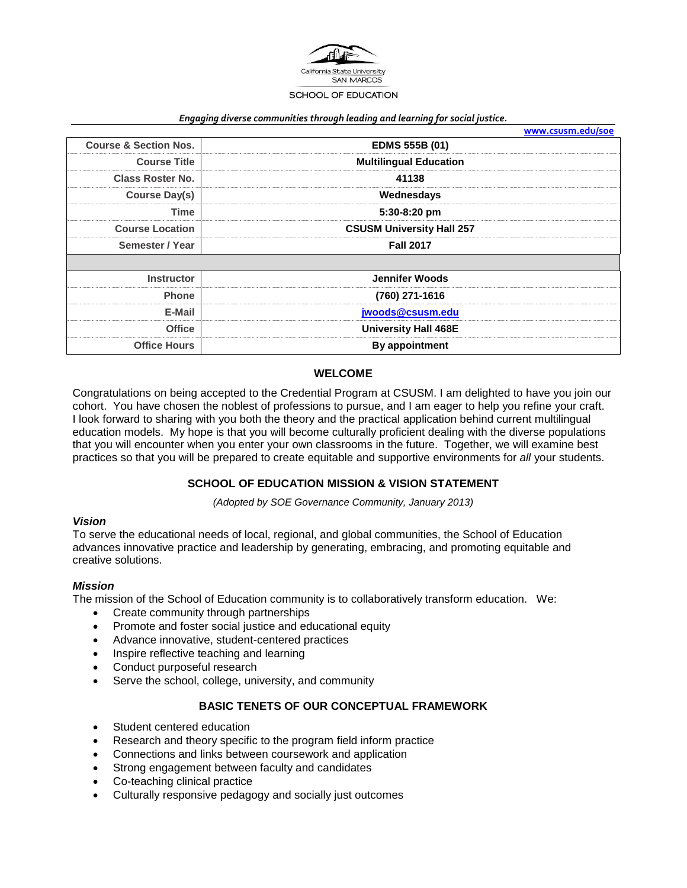

#### *Engaging diverse communities through leading and learning for social justice.*

|                                  | www.csusm.edu/soe                |
|----------------------------------|----------------------------------|
| <b>Course &amp; Section Nos.</b> | <b>EDMS 555B (01)</b>            |
| <b>Course Title</b>              | <b>Multilingual Education</b>    |
| <b>Class Roster No.</b>          | 41138                            |
| Course Day(s)                    | Wednesdays                       |
| Time                             | 5:30-8:20 pm                     |
| <b>Course Location</b>           | <b>CSUSM University Hall 257</b> |
| Semester / Year                  | <b>Fall 2017</b>                 |
|                                  |                                  |
| <b>Instructor</b>                | <b>Jennifer Woods</b>            |
| <b>Phone</b>                     | (760) 271-1616                   |
| E-Mail                           | jwoods@csusm.edu                 |
| <b>Office</b>                    | <b>University Hall 468E</b>      |
| <b>Office Hours</b>              | By appointment                   |

#### **WELCOME**

Congratulations on being accepted to the Credential Program at CSUSM. I am delighted to have you join our cohort. You have chosen the noblest of professions to pursue, and I am eager to help you refine your craft. I look forward to sharing with you both the theory and the practical application behind current multilingual education models. My hope is that you will become culturally proficient dealing with the diverse populations that you will encounter when you enter your own classrooms in the future. Together, we will examine best practices so that you will be prepared to create equitable and supportive environments for *all* your students.

#### **SCHOOL OF EDUCATION MISSION & VISION STATEMENT**

*(Adopted by SOE Governance Community, January 2013)*

#### *Vision*

To serve the educational needs of local, regional, and global communities, the School of Education advances innovative practice and leadership by generating, embracing, and promoting equitable and creative solutions.

#### *Mission*

The mission of the School of Education community is to collaboratively transform education. We:

- Create community through partnerships
- Promote and foster social justice and educational equity
- Advance innovative, student-centered practices
- Inspire reflective teaching and learning
- Conduct purposeful research
- Serve the school, college, university, and community

### **BASIC TENETS OF OUR CONCEPTUAL FRAMEWORK**

- Student centered education
- Research and theory specific to the program field inform practice
- Connections and links between coursework and application
- Strong engagement between faculty and candidates
- Co-teaching clinical practice
- Culturally responsive pedagogy and socially just outcomes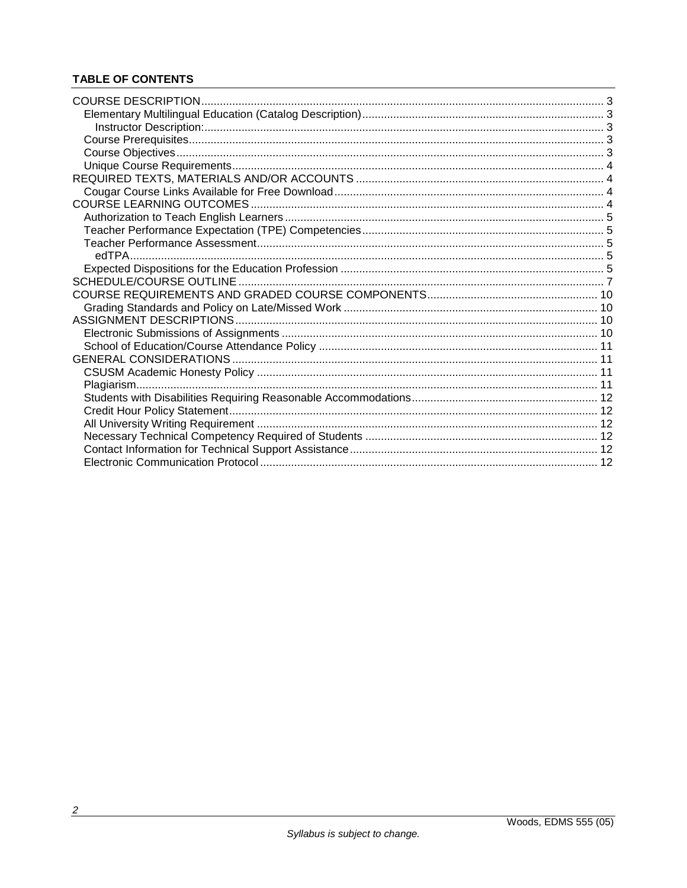# **TABLE OF CONTENTS**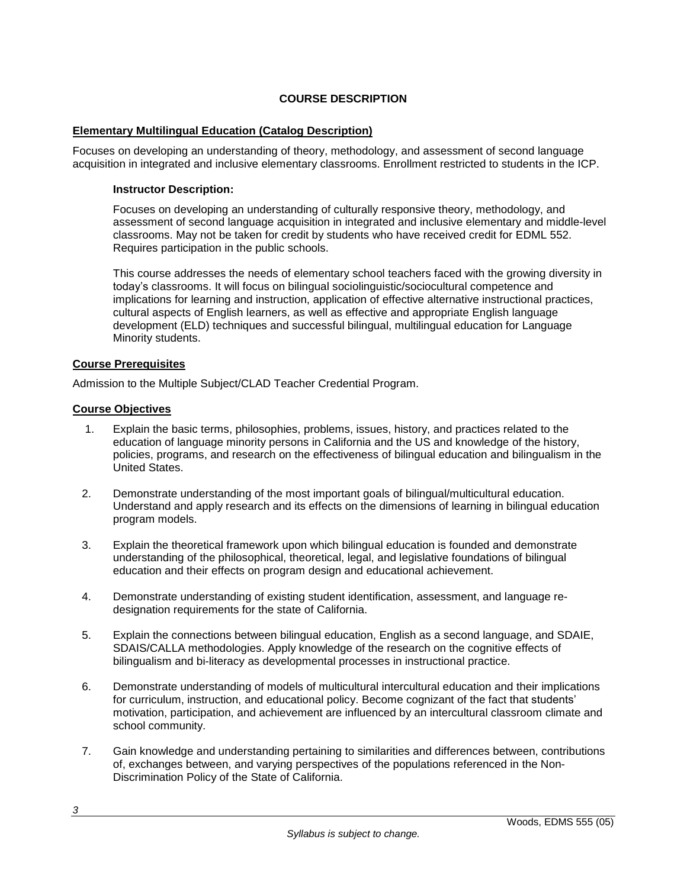# **COURSE DESCRIPTION**

### **Elementary Multilingual Education (Catalog Description)**

Focuses on developing an understanding of theory, methodology, and assessment of second language acquisition in integrated and inclusive elementary classrooms. Enrollment restricted to students in the ICP.

### **Instructor Description:**

Focuses on developing an understanding of culturally responsive theory, methodology, and assessment of second language acquisition in integrated and inclusive elementary and middle-level classrooms. May not be taken for credit by students who have received credit for EDML 552. Requires participation in the public schools.

This course addresses the needs of elementary school teachers faced with the growing diversity in today's classrooms. It will focus on bilingual sociolinguistic/sociocultural competence and implications for learning and instruction, application of effective alternative instructional practices, cultural aspects of English learners, as well as effective and appropriate English language development (ELD) techniques and successful bilingual, multilingual education for Language Minority students.

### **Course Prerequisites**

Admission to the Multiple Subject/CLAD Teacher Credential Program.

#### **Course Objectives**

- 1. Explain the basic terms, philosophies, problems, issues, history, and practices related to the education of language minority persons in California and the US and knowledge of the history, policies, programs, and research on the effectiveness of bilingual education and bilingualism in the United States.
- 2. Demonstrate understanding of the most important goals of bilingual/multicultural education. Understand and apply research and its effects on the dimensions of learning in bilingual education program models.
- 3. Explain the theoretical framework upon which bilingual education is founded and demonstrate understanding of the philosophical, theoretical, legal, and legislative foundations of bilingual education and their effects on program design and educational achievement.
- 4. Demonstrate understanding of existing student identification, assessment, and language redesignation requirements for the state of California.
- 5. Explain the connections between bilingual education, English as a second language, and SDAIE, SDAIS/CALLA methodologies. Apply knowledge of the research on the cognitive effects of bilingualism and bi-literacy as developmental processes in instructional practice.
- 6. Demonstrate understanding of models of multicultural intercultural education and their implications for curriculum, instruction, and educational policy. Become cognizant of the fact that students' motivation, participation, and achievement are influenced by an intercultural classroom climate and school community.
- 7. Gain knowledge and understanding pertaining to similarities and differences between, contributions of, exchanges between, and varying perspectives of the populations referenced in the Non-Discrimination Policy of the State of California.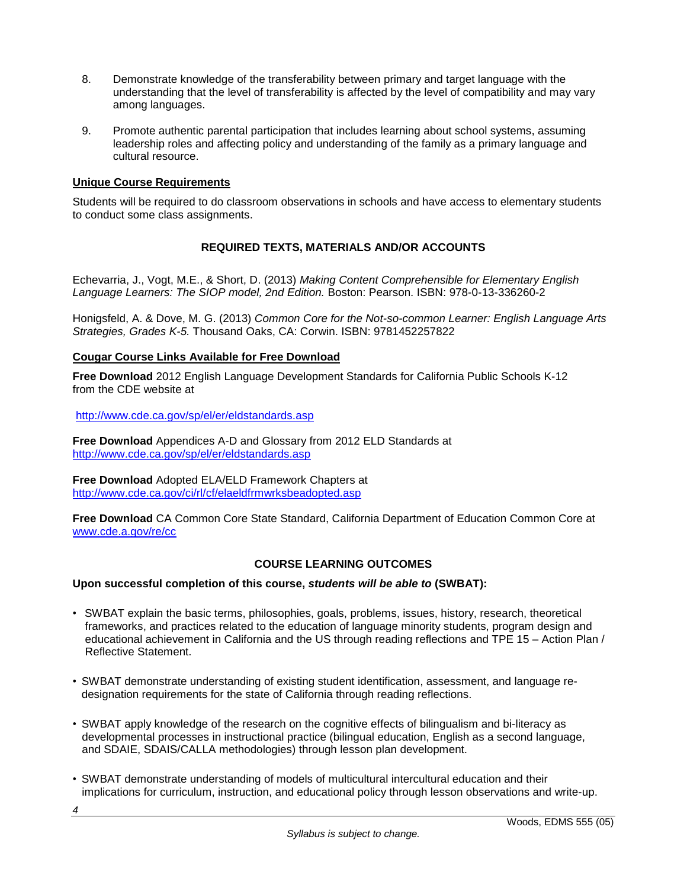- 8. Demonstrate knowledge of the transferability between primary and target language with the understanding that the level of transferability is affected by the level of compatibility and may vary among languages.
- 9. Promote authentic parental participation that includes learning about school systems, assuming leadership roles and affecting policy and understanding of the family as a primary language and cultural resource.

# **Unique Course Requirements**

Students will be required to do classroom observations in schools and have access to elementary students to conduct some class assignments.

# **REQUIRED TEXTS, MATERIALS AND/OR ACCOUNTS**

Echevarria, J., Vogt, M.E., & Short, D. (2013) *Making Content Comprehensible for Elementary English Language Learners: The SIOP model, 2nd Edition.* Boston: Pearson. ISBN: 978-0-13-336260-2

Honigsfeld, A. & Dove, M. G. (2013) *Common Core for the Not-so-common Learner: English Language Arts Strategies, Grades K-5.* Thousand Oaks, CA: Corwin. ISBN: 9781452257822

#### **Cougar Course Links Available for Free Download**

**Free Download** 2012 English Language Development Standards for California Public Schools K-12 from the CDE website at

<http://www.cde.ca.gov/sp/el/er/eldstandards.asp>

**Free Download** Appendices A-D and Glossary from 2012 ELD Standards at <http://www.cde.ca.gov/sp/el/er/eldstandards.asp>

**Free Download** Adopted ELA/ELD Framework Chapters at <http://www.cde.ca.gov/ci/rl/cf/elaeldfrmwrksbeadopted.asp>

**Free Download** CA Common Core State Standard, California Department of Education Common Core at [www.cde.a.gov/re/cc](http://www.cde.a.gov/re/cc)

#### **COURSE LEARNING OUTCOMES**

#### **Upon successful completion of this course,** *students will be able to* **(SWBAT):**

- SWBAT explain the basic terms, philosophies, goals, problems, issues, history, research, theoretical frameworks, and practices related to the education of language minority students, program design and educational achievement in California and the US through reading reflections and TPE 15 – Action Plan / Reflective Statement.
- SWBAT demonstrate understanding of existing student identification, assessment, and language redesignation requirements for the state of California through reading reflections.
- SWBAT apply knowledge of the research on the cognitive effects of bilingualism and bi-literacy as developmental processes in instructional practice (bilingual education, English as a second language, and SDAIE, SDAIS/CALLA methodologies) through lesson plan development.
- SWBAT demonstrate understanding of models of multicultural intercultural education and their implications for curriculum, instruction, and educational policy through lesson observations and write-up.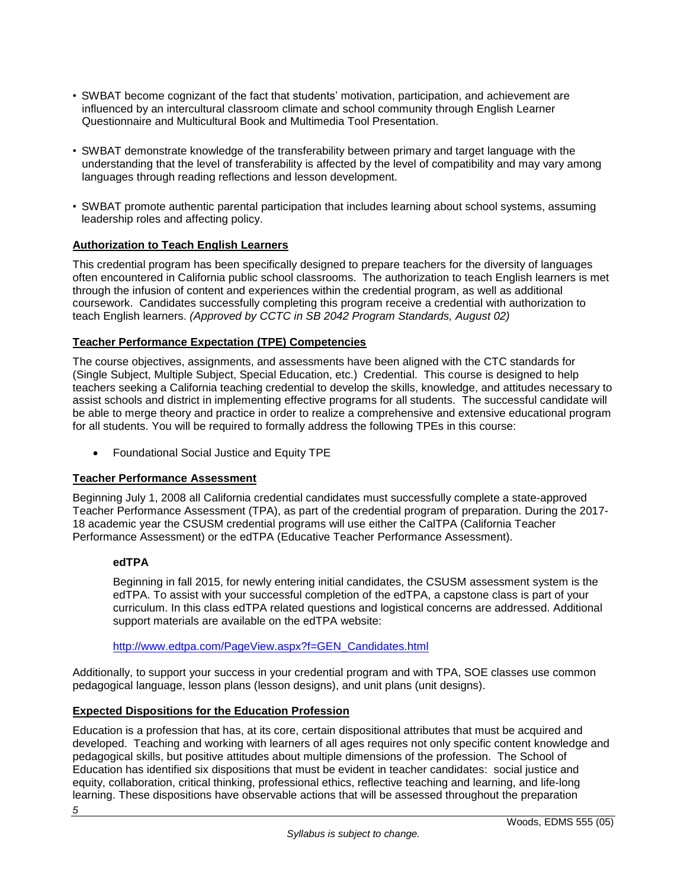- SWBAT become cognizant of the fact that students' motivation, participation, and achievement are influenced by an intercultural classroom climate and school community through English Learner Questionnaire and Multicultural Book and Multimedia Tool Presentation.
- SWBAT demonstrate knowledge of the transferability between primary and target language with the understanding that the level of transferability is affected by the level of compatibility and may vary among languages through reading reflections and lesson development.
- SWBAT promote authentic parental participation that includes learning about school systems, assuming leadership roles and affecting policy.

# **Authorization to Teach English Learners**

This credential program has been specifically designed to prepare teachers for the diversity of languages often encountered in California public school classrooms. The authorization to teach English learners is met through the infusion of content and experiences within the credential program, as well as additional coursework. Candidates successfully completing this program receive a credential with authorization to teach English learners. *(Approved by CCTC in SB 2042 Program Standards, August 02)*

# **Teacher Performance Expectation (TPE) Competencies**

The course objectives, assignments, and assessments have been aligned with the CTC standards for (Single Subject, Multiple Subject, Special Education, etc.) Credential. This course is designed to help teachers seeking a California teaching credential to develop the skills, knowledge, and attitudes necessary to assist schools and district in implementing effective programs for all students. The successful candidate will be able to merge theory and practice in order to realize a comprehensive and extensive educational program for all students. You will be required to formally address the following TPEs in this course:

Foundational Social Justice and Equity TPE

# **Teacher Performance Assessment**

Beginning July 1, 2008 all California credential candidates must successfully complete a state-approved Teacher Performance Assessment (TPA), as part of the credential program of preparation. During the 2017- 18 academic year the CSUSM credential programs will use either the CalTPA (California Teacher Performance Assessment) or the edTPA (Educative Teacher Performance Assessment).

# **edTPA**

Beginning in fall 2015, for newly entering initial candidates, the CSUSM assessment system is the edTPA. To assist with your successful completion of the edTPA, a capstone class is part of your curriculum. In this class edTPA related questions and logistical concerns are addressed. Additional support materials are available on the edTPA website:

# [http://www.edtpa.com/PageView.aspx?f=GEN\\_Candidates.html](http://www.edtpa.com/PageView.aspx?f=GEN_Candidates.html)

Additionally, to support your success in your credential program and with TPA, SOE classes use common pedagogical language, lesson plans (lesson designs), and unit plans (unit designs).

# **Expected Dispositions for the Education Profession**

*5* Education is a profession that has, at its core, certain dispositional attributes that must be acquired and developed. Teaching and working with learners of all ages requires not only specific content knowledge and pedagogical skills, but positive attitudes about multiple dimensions of the profession. The School of Education has identified six dispositions that must be evident in teacher candidates: social justice and equity, collaboration, critical thinking, professional ethics, reflective teaching and learning, and life-long learning. These dispositions have observable actions that will be assessed throughout the preparation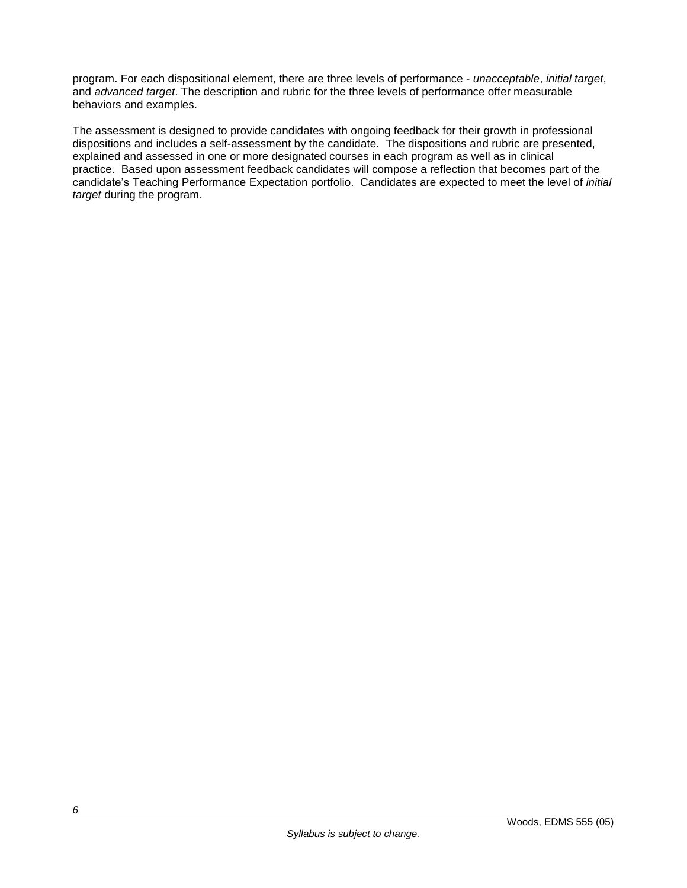program. For each dispositional element, there are three levels of performance - *unacceptable*, *initial target*, and *advanced target*. The description and rubric for the three levels of performance offer measurable behaviors and examples.

The assessment is designed to provide candidates with ongoing feedback for their growth in professional dispositions and includes a self-assessment by the candidate. The dispositions and rubric are presented, explained and assessed in one or more designated courses in each program as well as in clinical practice. Based upon assessment feedback candidates will compose a reflection that becomes part of the candidate's Teaching Performance Expectation portfolio. Candidates are expected to meet the level of *initial target* during the program.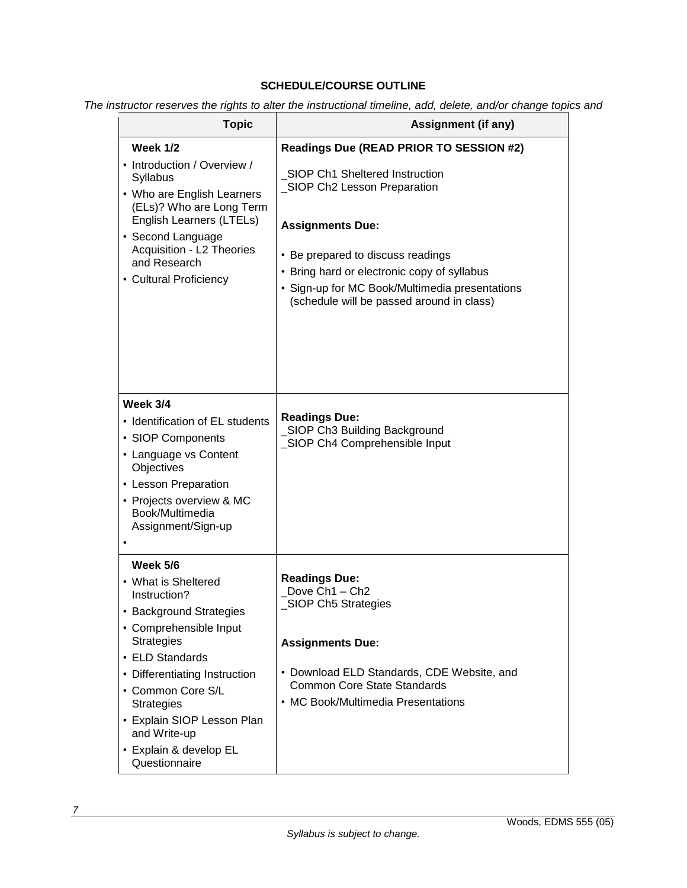# **SCHEDULE/COURSE OUTLINE**

*The instructor reserves the rights to alter the instructional timeline, add, delete, and/or change topics and*

| <b>Topic</b>                                                                                                                                                                                                                                                                                                     | <b>Assignment (if any)</b>                                                                                                                                                                                                                                                                                             |
|------------------------------------------------------------------------------------------------------------------------------------------------------------------------------------------------------------------------------------------------------------------------------------------------------------------|------------------------------------------------------------------------------------------------------------------------------------------------------------------------------------------------------------------------------------------------------------------------------------------------------------------------|
| <b>Week 1/2</b><br>• Introduction / Overview /<br><b>Syllabus</b><br>• Who are English Learners<br>(ELs)? Who are Long Term<br>English Learners (LTELs)<br>• Second Language<br>Acquisition - L2 Theories<br>and Research<br>• Cultural Proficiency                                                              | Readings Due (READ PRIOR TO SESSION #2)<br>SIOP Ch1 Sheltered Instruction<br>SIOP Ch2 Lesson Preparation<br><b>Assignments Due:</b><br>• Be prepared to discuss readings<br>• Bring hard or electronic copy of syllabus<br>• Sign-up for MC Book/Multimedia presentations<br>(schedule will be passed around in class) |
| <b>Week 3/4</b><br>• Identification of EL students<br>• SIOP Components<br>• Language vs Content<br>Objectives<br>• Lesson Preparation<br>• Projects overview & MC<br>Book/Multimedia<br>Assignment/Sign-up                                                                                                      | <b>Readings Due:</b><br>SIOP Ch3 Building Background<br>_SIOP Ch4 Comprehensible Input                                                                                                                                                                                                                                 |
| Week 5/6<br>• What is Sheltered<br>Instruction?<br>• Background Strategies<br>• Comprehensible Input<br><b>Strategies</b><br>• ELD Standards<br>• Differentiating Instruction<br>• Common Core S/L<br><b>Strategies</b><br>• Explain SIOP Lesson Plan<br>and Write-up<br>• Explain & develop EL<br>Questionnaire | <b>Readings Due:</b><br>Dove Ch <sub>1</sub> - Ch <sub>2</sub><br><b>SIOP Ch5 Strategies</b><br><b>Assignments Due:</b><br>• Download ELD Standards, CDE Website, and<br><b>Common Core State Standards</b><br>• MC Book/Multimedia Presentations                                                                      |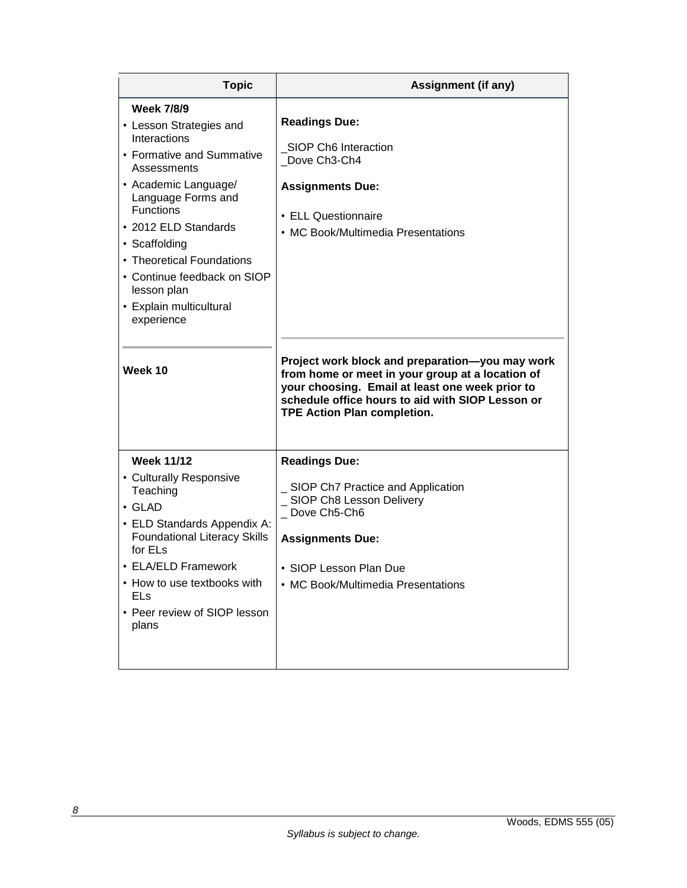| <b>Topic</b>                                                                                                                                                                                                                                                                                                                                       | <b>Assignment (if any)</b>                                                                                                                                                                                                                                                                                                                                                                               |
|----------------------------------------------------------------------------------------------------------------------------------------------------------------------------------------------------------------------------------------------------------------------------------------------------------------------------------------------------|----------------------------------------------------------------------------------------------------------------------------------------------------------------------------------------------------------------------------------------------------------------------------------------------------------------------------------------------------------------------------------------------------------|
| <b>Week 7/8/9</b><br>• Lesson Strategies and<br>Interactions<br>• Formative and Summative<br>Assessments<br>• Academic Language/<br>Language Forms and<br><b>Functions</b><br>• 2012 ELD Standards<br>• Scaffolding<br>• Theoretical Foundations<br>• Continue feedback on SIOP<br>lesson plan<br>• Explain multicultural<br>experience<br>Week 10 | <b>Readings Due:</b><br>SIOP Ch6 Interaction<br>Dove Ch3-Ch4<br><b>Assignments Due:</b><br>• ELL Questionnaire<br>• MC Book/Multimedia Presentations<br>Project work block and preparation-you may work<br>from home or meet in your group at a location of<br>your choosing. Email at least one week prior to<br>schedule office hours to aid with SIOP Lesson or<br><b>TPE Action Plan completion.</b> |
| <b>Week 11/12</b><br>• Culturally Responsive<br>Teaching<br>$\cdot$ GLAD<br>• ELD Standards Appendix A:<br><b>Foundational Literacy Skills</b><br>for ELs<br>• ELA/ELD Framework<br>• How to use textbooks with<br>ELs<br>• Peer review of SIOP lesson<br>plans                                                                                    | <b>Readings Due:</b><br>SIOP Ch7 Practice and Application<br>SIOP Ch8 Lesson Delivery<br>Dove Ch5-Ch6<br><b>Assignments Due:</b><br>• SIOP Lesson Plan Due<br>• MC Book/Multimedia Presentations                                                                                                                                                                                                         |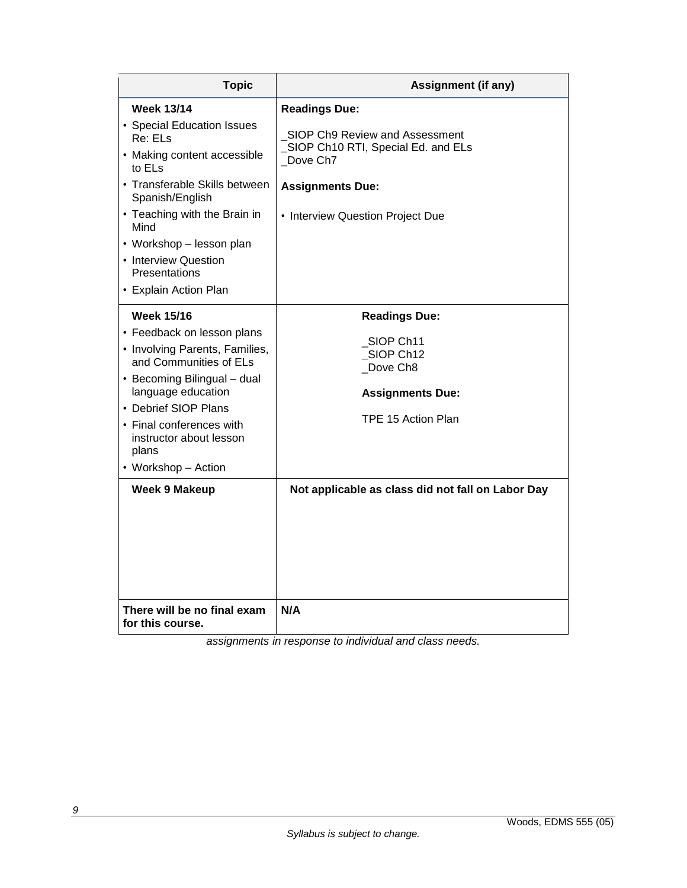| <b>Topic</b>                                                                                                                                                                                                                                                                                  | <b>Assignment (if any)</b>                                                                                                                                                          |
|-----------------------------------------------------------------------------------------------------------------------------------------------------------------------------------------------------------------------------------------------------------------------------------------------|-------------------------------------------------------------------------------------------------------------------------------------------------------------------------------------|
| <b>Week 13/14</b><br>• Special Education Issues<br>Re: ELs<br>• Making content accessible<br>to ELs<br>• Transferable Skills between<br>Spanish/English<br>• Teaching with the Brain in<br>Mind<br>• Workshop – lesson plan<br>• Interview Question<br>Presentations<br>• Explain Action Plan | <b>Readings Due:</b><br>SIOP Ch9 Review and Assessment<br>SIOP Ch10 RTI, Special Ed. and ELs<br>Dove Ch <sub>7</sub><br><b>Assignments Due:</b><br>• Interview Question Project Due |
| <b>Week 15/16</b><br>• Feedback on lesson plans<br>• Involving Parents, Families,<br>and Communities of ELs<br>• Becoming Bilingual - dual<br>language education<br>• Debrief SIOP Plans<br>• Final conferences with<br>instructor about lesson<br>plans<br>• Workshop - Action               | <b>Readings Due:</b><br>SIOP Ch11<br>SIOP Ch12<br>Dove Ch8<br><b>Assignments Due:</b><br>TPE 15 Action Plan                                                                         |
| <b>Week 9 Makeup</b><br>There will be no final exam                                                                                                                                                                                                                                           | Not applicable as class did not fall on Labor Day<br>N/A                                                                                                                            |
| for this course.                                                                                                                                                                                                                                                                              |                                                                                                                                                                                     |

*assignments in response to individual and class needs.*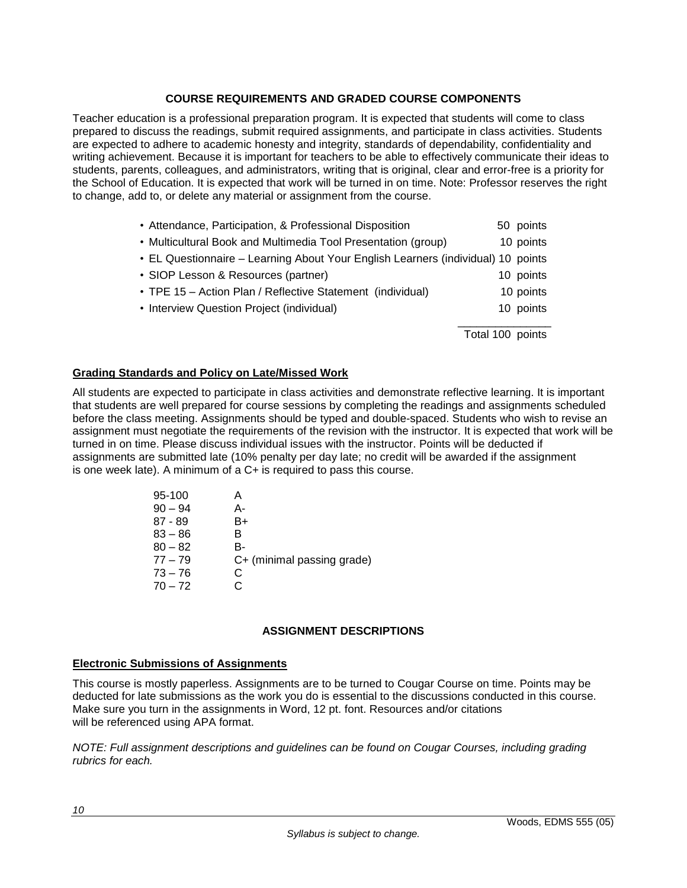# **COURSE REQUIREMENTS AND GRADED COURSE COMPONENTS**

Teacher education is a professional preparation program. It is expected that students will come to class prepared to discuss the readings, submit required assignments, and participate in class activities. Students are expected to adhere to academic honesty and integrity, standards of dependability, confidentiality and writing achievement. Because it is important for teachers to be able to effectively communicate their ideas to students, parents, colleagues, and administrators, writing that is original, clear and error-free is a priority for the School of Education. It is expected that work will be turned in on time. Note: Professor reserves the right to change, add to, or delete any material or assignment from the course.

| • Attendance, Participation, & Professional Disposition                          | 50 points        |
|----------------------------------------------------------------------------------|------------------|
| • Multicultural Book and Multimedia Tool Presentation (group)                    | 10 points        |
| • EL Questionnaire – Learning About Your English Learners (individual) 10 points |                  |
| • SIOP Lesson & Resources (partner)                                              | 10 points        |
| • TPE 15 – Action Plan / Reflective Statement (individual)                       | 10 points        |
| • Interview Question Project (individual)                                        | 10 points        |
|                                                                                  | Total 100 points |

# **Grading Standards and Policy on Late/Missed Work**

All students are expected to participate in class activities and demonstrate reflective learning. It is important that students are well prepared for course sessions by completing the readings and assignments scheduled before the class meeting. Assignments should be typed and double-spaced. Students who wish to revise an assignment must negotiate the requirements of the revision with the instructor. It is expected that work will be turned in on time. Please discuss individual issues with the instructor. Points will be deducted if assignments are submitted late (10% penalty per day late; no credit will be awarded if the assignment is one week late). A minimum of a C+ is required to pass this course.

| 95-100    | А                          |
|-----------|----------------------------|
| $90 - 94$ | А-                         |
| $87 - 89$ | B+                         |
| $83 - 86$ | R                          |
| $80 - 82$ | B-                         |
| $77 - 79$ | C+ (minimal passing grade) |
| $73 - 76$ | C                          |
| $70 - 72$ | r.                         |

# **ASSIGNMENT DESCRIPTIONS**

#### **Electronic Submissions of Assignments**

This course is mostly paperless. Assignments are to be turned to Cougar Course on time. Points may be deducted for late submissions as the work you do is essential to the discussions conducted in this course. Make sure you turn in the assignments in Word, 12 pt. font. Resources and/or citations will be referenced using APA format.

*NOTE: Full assignment descriptions and guidelines can be found on Cougar Courses, including grading rubrics for each.*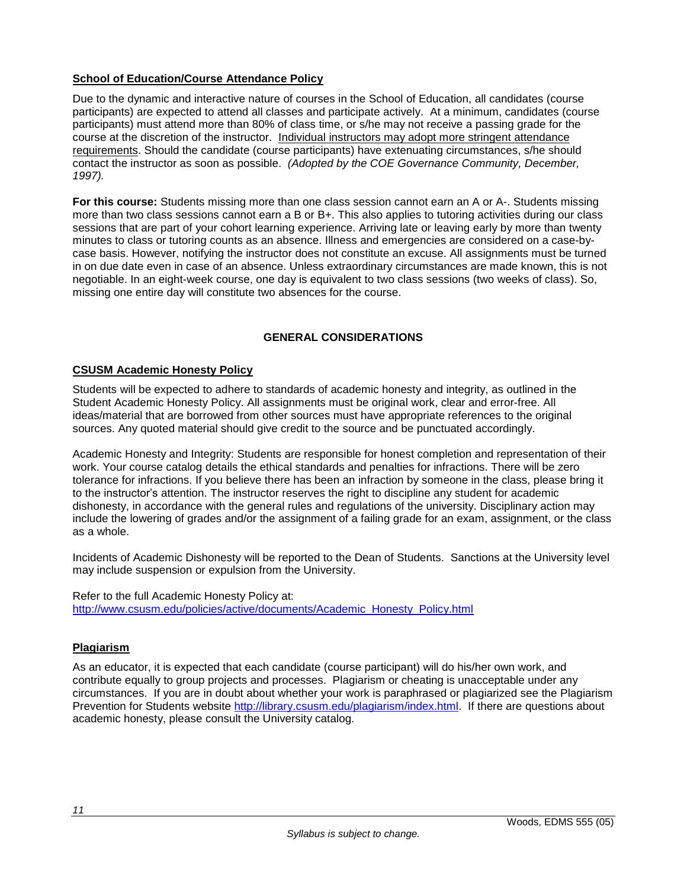# **School of Education/Course Attendance Policy**

Due to the dynamic and interactive nature of courses in the School of Education, all candidates (course participants) are expected to attend all classes and participate actively. At a minimum, candidates (course participants) must attend more than 80% of class time, or s/he may not receive a passing grade for the course at the discretion of the instructor. Individual instructors may adopt more stringent attendance requirements. Should the candidate (course participants) have extenuating circumstances, s/he should contact the instructor as soon as possible. *(Adopted by the COE Governance Community, December, 1997).*

**For this course:** Students missing more than one class session cannot earn an A or A-. Students missing more than two class sessions cannot earn a B or B+. This also applies to tutoring activities during our class sessions that are part of your cohort learning experience. Arriving late or leaving early by more than twenty minutes to class or tutoring counts as an absence. Illness and emergencies are considered on a case-bycase basis. However, notifying the instructor does not constitute an excuse. All assignments must be turned in on due date even in case of an absence. Unless extraordinary circumstances are made known, this is not negotiable. In an eight-week course, one day is equivalent to two class sessions (two weeks of class). So, missing one entire day will constitute two absences for the course.

# **GENERAL CONSIDERATIONS**

# **CSUSM Academic Honesty Policy**

Students will be expected to adhere to standards of academic honesty and integrity, as outlined in the Student Academic Honesty Policy. All assignments must be original work, clear and error-free. All ideas/material that are borrowed from other sources must have appropriate references to the original sources. Any quoted material should give credit to the source and be punctuated accordingly.

Academic Honesty and Integrity: Students are responsible for honest completion and representation of their work. Your course catalog details the ethical standards and penalties for infractions. There will be zero tolerance for infractions. If you believe there has been an infraction by someone in the class, please bring it to the instructor's attention. The instructor reserves the right to discipline any student for academic dishonesty, in accordance with the general rules and regulations of the university. Disciplinary action may include the lowering of grades and/or the assignment of a failing grade for an exam, assignment, or the class as a whole.

Incidents of Academic Dishonesty will be reported to the Dean of Students. Sanctions at the University level may include suspension or expulsion from the University.

Refer to the full Academic Honesty Policy at: [http://www.csusm.edu/policies/active/documents/Academic\\_Honesty\\_Policy.html](http://www.csusm.edu/policies/active/documents/Academic_Honesty_Policy.html)

# **Plagiarism**

As an educator, it is expected that each candidate (course participant) will do his/her own work, and contribute equally to group projects and processes. Plagiarism or cheating is unacceptable under any circumstances. If you are in doubt about whether your work is paraphrased or plagiarized see the Plagiarism Prevention for Students website [http://library.csusm.edu/plagiarism/index.html.](http://library.csusm.edu/plagiarism/index.html) If there are questions about academic honesty, please consult the University catalog.